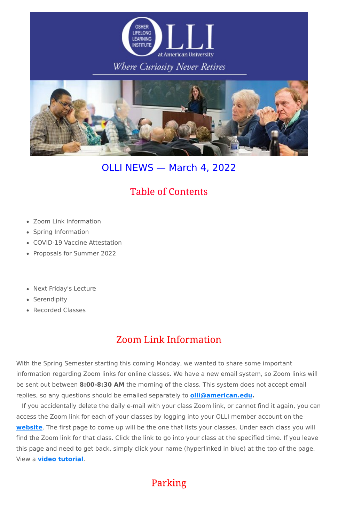

### Where Curiosity Never Retires



# OLLI NEWS — March 4, 2022

- Zoom Link Information
- Spring Information
- COVID-19 Vaccine Attestation
- Proposals for Summer 2022
- Next Friday's Lecture
- Serendipity
- Recorded Classes

# **Table of Contents**

## **Zoom Link Information**

With the Spring Semester starting this coming Monday, we wanted to share some important information regarding Zoom links for online classes. We have a new email system, so Zoom links will be sent out between **8:00-8:30 AM** the morning of the class. This system does not accept email replies, so any questions should be emailed separately to **[olli@american.edu.](mailto:olli@american.edu)**

If you accidentally delete the daily e-mail with your class Zoom link, or cannot find it again, you can access the Zoom link for each of your classes by logging into your OLLI member account on the

**[website](https://www.olli-dc.org/)**. The first page to come up will be the one that lists your classes. Under each class you will find the Zoom link for that class. Click the link to go into your class at the specified time. If you leave this page and need to get back, simply click your name (hyperlinked in blue) at the top of the page. View a **video [tutorial](https://vimeo.com/666099470)**.

Parking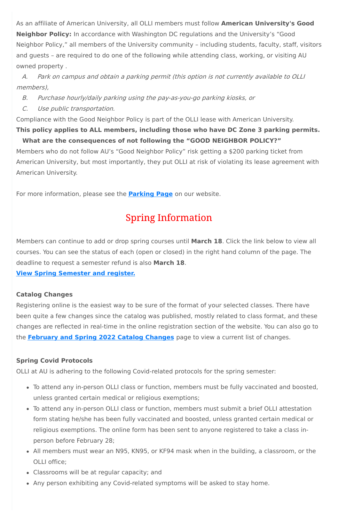As an affiliate of American University, all OLLI members must follow **American University's Good Neighbor Policy:** In accordance with Washington DC regulations and the University's "Good Neighbor Policy," all members of the University community – including students, faculty, staff, visitors and guests – are required to do one of the following while attending class, working, or visiting AU owned property .

A. Park on campus and obtain <sup>a</sup> parking permit (this option is not currently available to OLLI members),

- B. Purchase hourly/daily parking using the pay-as-you-go parking kiosks, or
- C. Use public transportation.

Compliance with the Good Neighbor Policy is part of the OLLI lease with American University.

### **This policy applies to ALL members, including those who have DC Zone 3 parking permits. What are the consequences of not following the "GOOD NEIGHBOR POLICY?"**

Members who do not follow AU's "Good Neighbor Policy" risk getting a \$200 parking ticket from American University, but most importantly, they put OLLI at risk of violating its lease agreement with American University.

For more information, please see the **[Parking](https://olli-dc.org/parking) Page** on our website.

# **Spring Information**

Members can continue to add or drop spring courses until **March 18**. Click the link below to view all courses. You can see the status of each (open or closed) in the right hand column of the page. The deadline to request a semester refund is also **March 18**.

### **View Spring [Semester](https://www.olli-dc.org/view_all_study_groups) and register.**

### **Catalog Changes**

Registering online is the easiest way to be sure of the format of your selected classes. There have been quite a few changes since the catalog was published, mostly related to class format, and these changes are reflected in real-time in the online registration section of the website. You can also go to the **[February](https://www.olli-dc.org/feb_spring_catalog_changes) and Spring 2022 Catalog Changes** page to view a current list of changes.

### **Spring Covid Protocols**

OLLI at AU is adhering to the following Covid-related protocols for the spring semester:

- To attend any in-person OLLI class or function, members must be fully vaccinated and boosted, unless granted certain medical or religious exemptions;
- To attend any in-person OLLI class or function, members must submit a brief OLLI attestation form stating he/she has been fully vaccinated and boosted, unless granted certain medical or religious exemptions. The online form has been sent to anyone registered to take a class inperson before February 28;
- All members must wear an N95, KN95, or KF94 mask when in the building, a classroom, or the OLLI office;
- Classrooms will be at regular capacity; and
- Any person exhibiting any Covid-related symptoms will be asked to stay home.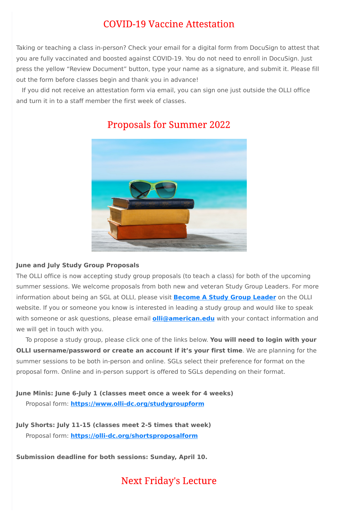### **COVID-19 Vaccine Attestation**

Taking or teaching a class in-person? Check your email for a digital form from DocuSign to attest that you are fully vaccinated and boosted against COVID-19. You do not need to enroll in DocuSign. Just press the yellow "Review Document" button, type your name as a signature, and submit it. Please fill out the form before classes begin and thank you in advance!

If you did not receive an attestation form via email, you can sign one just outside the OLLI office and turn it in to a staff member the first week of classes.



### **Proposals for Summer 2022**

#### **June and July Study Group Proposals**

The OLLI office is now accepting study group proposals (to teach a class) for both of the upcoming summer sessions. We welcome proposals from both new and veteran Study Group Leaders. For more information about being an SGL at OLLI, please visit **[Become](https://olli-dc.org/become_a_study_group_leader) A Study Group Leader** on the OLLI website. If you or someone you know is interested in leading a study group and would like to speak with someone or ask questions, please email **[olli@american.edu](mailto:olli@american.edu)** with your contact information and we will get in touch with you.

To propose a study group, please click one of the links below. **You will need to login with your OLLI username/password or create an account if it's your first time**. We are planning for the summer sessions to be both in-person and online. SGLs select their preference for format on the proposal form. Online and in-person support is offered to SGLs depending on their format.

**June Minis: June 6-July 1 (classes meet once a week for 4 weeks)**

Proposal form: **[https://www.olli-dc.org/studygroupform](https://olli-dc.org/studygroupform)**

**July Shorts: July 11-15 (classes meet 2-5 times that week)**

Proposal form: **<https://olli-dc.org/shortsproposalform>**

**Submission deadline for both sessions: Sunday, April 10.**

**Next Friday's Lecture**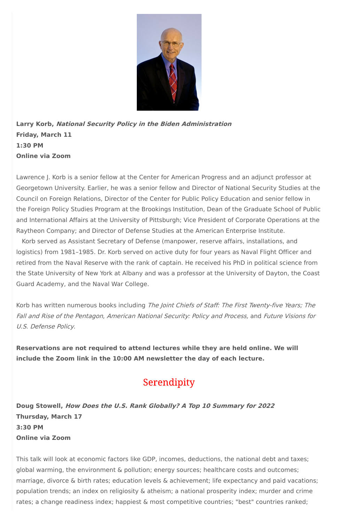

**Larry Korb, National Security Policy in the Biden Administration Friday, March 11 1:30 PM Online via Zoom**

Lawrence J. Korb is a senior fellow at the Center for American Progress and an adjunct professor at Georgetown University. Earlier, he was a senior fellow and Director of National Security Studies at the Council on Foreign Relations, Director of the Center for Public Policy Education and senior fellow in the Foreign Policy Studies Program at the Brookings Institution, Dean of the Graduate School of Public and International Affairs at the University of Pittsburgh; Vice President of Corporate Operations at the Raytheon Company; and Director of Defense Studies at the American Enterprise Institute.

Korb has written numerous books including The Joint Chiefs of Staff: The First Twenty-five Years; The Fall and Rise of the Pentagon, American National Security: Policy and Process, and Future Visions for U.S. Defense Policy.

Korb served as Assistant Secretary of Defense (manpower, reserve affairs, installations, and logistics) from 1981–1985. Dr. Korb served on active duty for four years as Naval Flight Officer and retired from the Naval Reserve with the rank of captain. He received his PhD in political science from the State University of New York at Albany and was a professor at the University of Dayton, the Coast Guard Academy, and the Naval War College.

**Reservations are not required to attend lectures while they are held online. We will include the Zoom link in the 10:00 AM newsletter the day of each lecture.**

### Serendipity



**Doug Stowell, How Does the U.S. Rank Globally? A Top 10 Summary for 2022 Thursday, March 17 3:30 PM**

**Online via Zoom**

This talk will look at economic factors like GDP, incomes, deductions, the national debt and taxes; global warming, the environment & pollution; energy sources; healthcare costs and outcomes; marriage, divorce & birth rates; education levels & achievement; life expectancy and paid vacations; population trends; an index on religiosity & atheism; a national prosperity index; murder and crime rates; a change readiness index; happiest & most competitive countries; "best" countries ranked;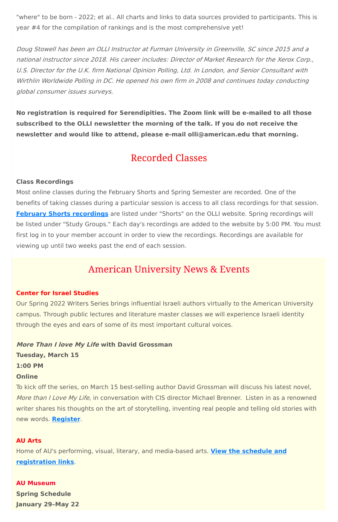"where" to be born - 2022; et al.. All charts and links to data sources provided to participants. This is year #4 for the compilation of rankings and is the most comprehensive yet!

Doug Stowell has been an OLLI Instructor at Furman University in Greenville, SC since 2015 and <sup>a</sup> national instructor since 2018. His career includes: Director of Market Research for the Xerox Corp., U.S. Director for the U.K. firm National Opinion Polling, Ltd. In London, and Senior Consultant with Wirthlin Worldwide Polling in DC. He opened his own firm in 2008 and continues today conducting global consumer issues surveys.

**No registration is required for Serendipities. The Zoom link will be e-mailed to all those subscribed to the OLLI newsletter the morning of the talk. If you do not receive the newsletter and would like to attend, please e-mail olli@american.edu that morning.**

### **Recorded Classes**

#### **Class Recordings**

Most online classes during the February Shorts and Spring Semester are recorded. One of the benefits of taking classes during a particular session is access to all class recordings for that session. **February Shorts [recordings](https://www.olli-dc.org/2022_february_shorts_recordings)** are listed under "Shorts" on the OLLI website. Spring recordings will be listed under "Study Groups." Each day's recordings are added to the website by 5:00 PM. You must first log in to your member account in order to view the recordings. Recordings are available for viewing up until two weeks past the end of each session.

### **American University News & Events**

#### **Center for Israel Studies**

Our Spring 2022 Writers Series brings influential Israeli authors virtually to the American University campus. Through public lectures and literature master classes we will experience Israeli identity through the eyes and ears of some of its most important cultural voices.

**More Than I love My Life with David Grossman Tuesday, March 15 1:00 PM Online**

To kick off the series, on March 15 best-selling author David Grossman will discuss his latest novel, More than I Love My Life, in conversation with CIS director Michael Brenner. Listen in as a renowned writer shares his thoughts on the art of storytelling, inventing real people and telling old stories with new words. **[Register](https://www.eventbrite.com/e/israeli-writers-series-a-conversation-with-david-grossman-tickets-262216956977)**.

#### **AU Arts**

Home of AU's performing, visual, literary, and media-based arts. **View the schedule and [registration](https://www.american.edu/arts/) links**.

**AU Museum**

**Spring Schedule**

**January 29–May 22**